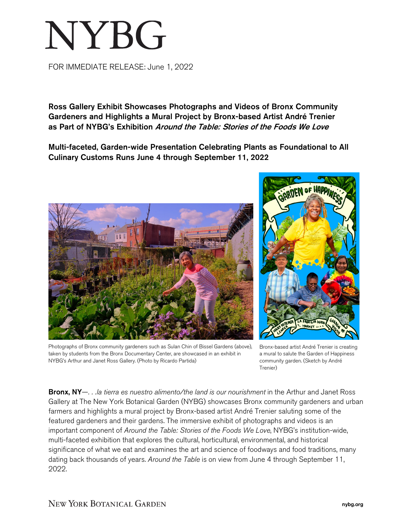## NYBG

FOR IMMEDIATE RELEASE: June 1, 2022

Ross Gallery Exhibit Showcases Photographs and Videos of Bronx Community Gardeners and Highlights a Mural Project by Bronx-based Artist André Trenier as Part of NYBG's Exhibition Around the Table: Stories of the Foods We Love

Multi-faceted, Garden-wide Presentation Celebrating Plants as Foundational to All Culinary Customs Runs June 4 through September 11, 2022





taken by students from the Bronx Documentary Center, are showcased in an exhibit in Bronx-based artist André Trenier is creating a mural to salute the Garden of Happiness community garden. (Sketch by André Trenier)

Bronx, NY—. . .la tierra es nuestro alimento/the land is our nourishment in the Arthur and Janet Ross Gallery at The New York Botanical Garden (NYBG) showcases Bronx community gardeners and urban farmers and highlights a mural project by Bronx-based artist André Trenier saluting some of the featured gardeners and their gardens. The immersive exhibit of photographs and videos is an important component of *Around the Table: Stories of the Foods We Love*, NYBG's institution-wide, multi-faceted exhibition that explores the cultural, horticultural, environmental, and historical significance of what we eat and examines the art and science of foodways and food traditions, many dating back thousands of years. *Around the Table* is on view from June 4 through September 11, 2022.

NYBG's Arthur and Janet Ross Gallery. (Photo by Ricardo Partida)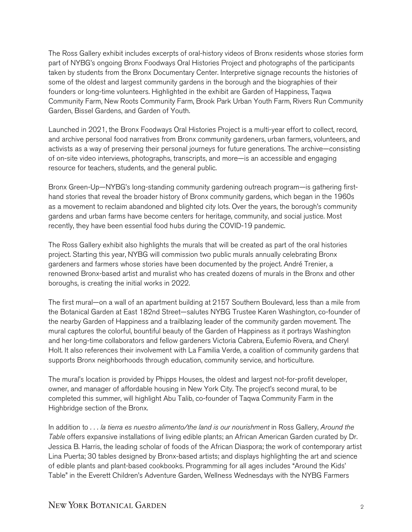The Ross Gallery exhibit includes excerpts of oral-history videos of Bronx residents whose stories form part of NYBG's ongoing Bronx Foodways Oral Histories Project and photographs of the participants taken by students from the Bronx Documentary Center. Interpretive signage recounts the histories of some of the oldest and largest community gardens in the borough and the biographies of their founders or long-time volunteers. Highlighted in the exhibit are Garden of Happiness, Taqwa Community Farm, New Roots Community Farm, Brook Park Urban Youth Farm, Rivers Run Community Garden, Bissel Gardens, and Garden of Youth.

Launched in 2021, the Bronx Foodways Oral Histories Project is a multi-year effort to collect, record, and archive personal food narratives from Bronx community gardeners, urban farmers, volunteers, and activists as a way of preserving their personal journeys for future generations. The archive—consisting of on-site video interviews, photographs, transcripts, and more—is an accessible and engaging resource for teachers, students, and the general public.

Bronx Green-Up—NYBG's long-standing community gardening outreach program—is gathering firsthand stories that reveal the broader history of Bronx community gardens, which began in the 1960s as a movement to reclaim abandoned and blighted city lots. Over the years, the borough's community gardens and urban farms have become centers for heritage, community, and social justice. Most recently, they have been essential food hubs during the COVID-19 pandemic.

The Ross Gallery exhibit also highlights the murals that will be created as part of the oral histories project. Starting this year, NYBG will commission two public murals annually celebrating Bronx gardeners and farmers whose stories have been documented by the project. André Trenier, a renowned Bronx-based artist and muralist who has created dozens of murals in the Bronx and other boroughs, is creating the initial works in 2022.

The first mural—on a wall of an apartment building at 2157 Southern Boulevard, less than a mile from the Botanical Garden at East 182nd Street—salutes NYBG Trustee Karen Washington, co-founder of the nearby Garden of Happiness and a trailblazing leader of the community garden movement. The mural captures the colorful, bountiful beauty of the Garden of Happiness as it portrays Washington and her long-time collaborators and fellow gardeners Victoria Cabrera, Eufemio Rivera, and Cheryl Holt. It also references their involvement with La Familia Verde, a coalition of community gardens that supports Bronx neighborhoods through education, community service, and horticulture.

The mural's location is provided by Phipps Houses, the oldest and largest not-for-profit developer, owner, and manager of affordable housing in New York City. The project's second mural, to be completed this summer, will highlight Abu Talib, co-founder of Taqwa Community Farm in the Highbridge section of the Bronx.

In addition to *. . . la tierra es nuestro alimento/the land is our nourishment* in Ross Gallery, *Around the Table* offers expansive installations of living edible plants; an African American Garden curated by Dr. Jessica B. Harris, the leading scholar of foods of the African Diaspora; the work of contemporary artist Lina Puerta; 30 tables designed by Bronx-based artists; and displays highlighting the art and science of edible plants and plant-based cookbooks. Programming for all ages includes "Around the Kids' Table" in the Everett Children's Adventure Garden, Wellness Wednesdays with the NYBG Farmers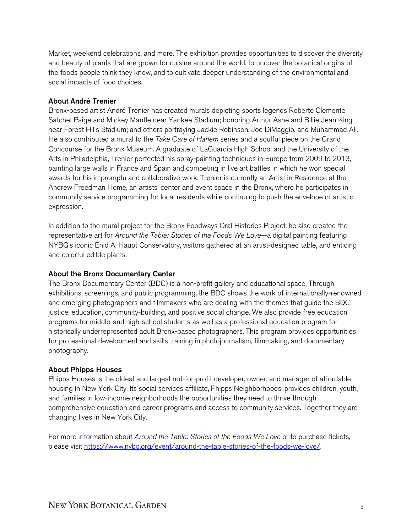Market, weekend celebrations, and more. The exhibition provides opportunities to discover the diversity and beauty of plants that are grown for cuisine around the world, to uncover the botanical origins of the foods people think they know, and to cultivate deeper understanding of the environmental and social impacts of food choices.

## About André Trenier

Bronx-based artist André Trenier has created murals depicting sports legends Roberto Clemente, Satchel Paige and Mickey Mantle near Yankee Stadium; honoring Arthur Ashe and Billie Jean King near Forest Hills Stadium; and others portraying Jackie Robinson, Joe DiMaggio, and Muhammad Ali. He also contributed a mural to the *Take Care of Harlem* series and a soulful piece on the Grand Concourse for the Bronx Museum. A graduate of LaGuardia High School and the University of the Arts in Philadelphia, Trenier perfected his spray-painting techniques in Europe from 2009 to 2013, painting large walls in France and Spain and competing in live art battles in which he won special awards for his impromptu and collaborative work. Trenier is currently an Artist in Residence at the Andrew Freedman Home, an artists' center and event space in the Bronx, where he participates in community service programming for local residents while continuing to push the envelope of artistic expression.

In addition to the mural project for the Bronx Foodways Oral Histories Project, he also created the representative art for *Around the Table: Stories of the Foods We Love*—a digital painting featuring NYBG's iconic Enid A. Haupt Conservatory, visitors gathered at an artist-designed table, and enticing and colorful edible plants*.* 

## About the Bronx Documentary Center

The Bronx Documentary Center (BDC) is a non-profit gallery and educational space. Through exhibitions, screenings, and public programming, the BDC shows the work of internationally-renowned and emerging photographers and filmmakers who are dealing with the themes that guide the BDC: justice, education, community-building, and positive social change. We also provide free education programs for middle-and high-school students as well as a professional education program for historically underrepresented adult Bronx-based photographers. This program provides opportunities for professional development and skills training in photojournalism, filmmaking, and documentary photography.

## About Phipps Houses

Phipps Houses is the oldest and largest not-for-profit developer, owner, and manager of affordable housing in New York City. Its social services affiliate, Phipps Neighborhoods, provides children, youth, and families in low-income neighborhoods the opportunities they need to thrive through comprehensive education and career programs and access to community services. Together they are changing lives in New York City.

For more information about *Around the Table: Stories of the Foods We Love* or to purchase tickets, please visit [https://www.nybg.org/event/around-the-table-stories-of-the-foods-we-love/.](https://www.nybg.org/event/around-the-table-stories-of-the-foods-we-love/)